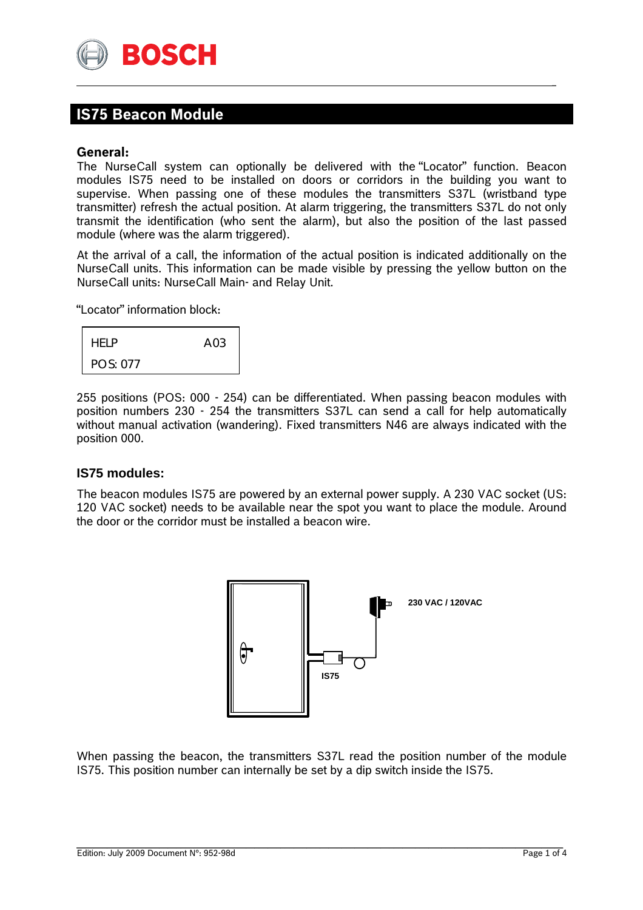

# **IS75 Beacon Module**

### **General:**

The NurseCall system can optionally be delivered with the "Locator" function. Beacon modules IS75 need to be installed on doors or corridors in the building you want to supervise. When passing one of these modules the transmitters S37L (wristband type transmitter) refresh the actual position. At alarm triggering, the transmitters S37L do not only transmit the identification (who sent the alarm), but also the position of the last passed module (where was the alarm triggered).

\_

At the arrival of a call, the information of the actual position is indicated additionally on the NurseCall units. This information can be made visible by pressing the yellow button on the NurseCall units: NurseCall Main- and Relay Unit.

"Locator" information block:

| <b>HFIP</b> | A <sub>0.3</sub> |
|-------------|------------------|
| POS: 077    |                  |

255 positions (POS: 000 - 254) can be differentiated. When passing beacon modules with position numbers 230 - 254 the transmitters S37L can send a call for help automatically without manual activation (wandering). Fixed transmitters N46 are always indicated with the position 000.

### **IS75 modules:**

The beacon modules IS75 are powered by an external power supply. A 230 VAC socket (US: 120 VAC socket) needs to be available near the spot you want to place the module. Around the door or the corridor must be installed a beacon wire.



When passing the beacon, the transmitters S37L read the position number of the module IS75. This position number can internally be set by a dip switch inside the IS75.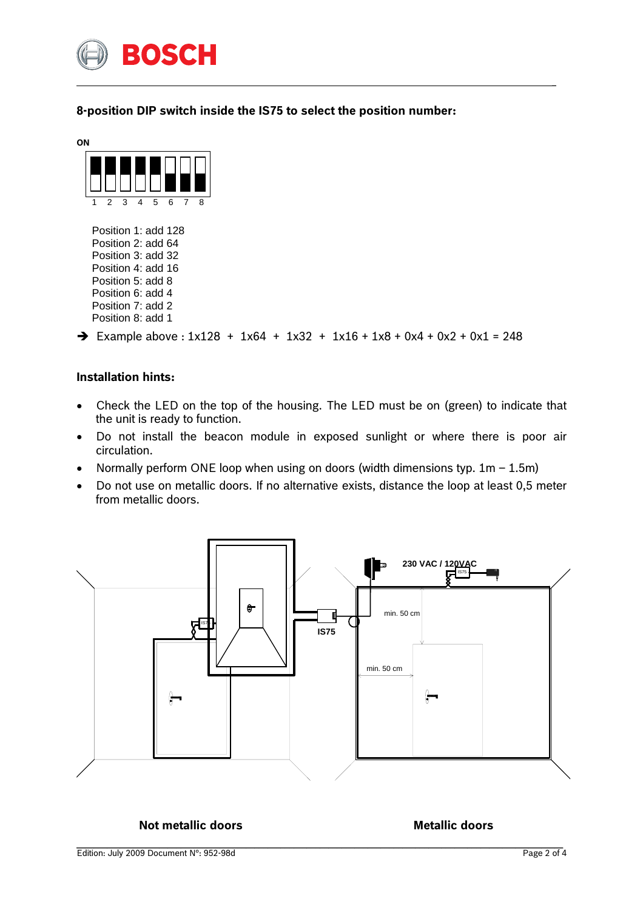

**8-position DIP switch inside the IS75 to select the position number:** 

\_



 Position 1: add 128 Position 2: add 64 Position 3: add 32 Position 4: add 16 Position 5: add 8 Position 6: add 4 Position 7: add 2 Position 8: add 1

 $\rightarrow$  Example above : 1x128 + 1x64 + 1x32 + 1x16 + 1x8 + 0x4 + 0x2 + 0x1 = 248

## **Installation hints:**

- Check the LED on the top of the housing. The LED must be on (green) to indicate that the unit is ready to function.
- Do not install the beacon module in exposed sunlight or where there is poor air circulation.
- Normally perform ONE loop when using on doors (width dimensions typ.  $1m 1.5m$ )
- Do not use on metallic doors. If no alternative exists, distance the loop at least 0,5 meter from metallic doors.



**Not metallic doors** and **Metallic doors Metallic doors**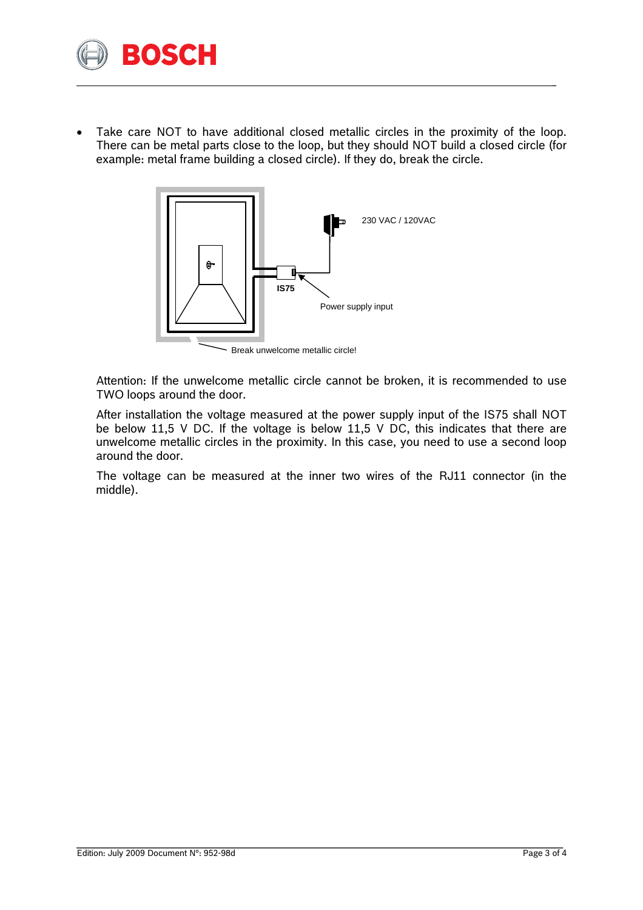

Take care NOT to have additional closed metallic circles in the proximity of the loop. There can be metal parts close to the loop, but they should NOT build a closed circle (for example: metal frame building a closed circle). If they do, break the circle.

\_



Attention: If the unwelcome metallic circle cannot be broken, it is recommended to use TWO loops around the door.

After installation the voltage measured at the power supply input of the IS75 shall NOT be below 11,5 V DC. If the voltage is below 11,5 V DC, this indicates that there are unwelcome metallic circles in the proximity. In this case, you need to use a second loop around the door.

The voltage can be measured at the inner two wires of the RJ11 connector (in the middle).